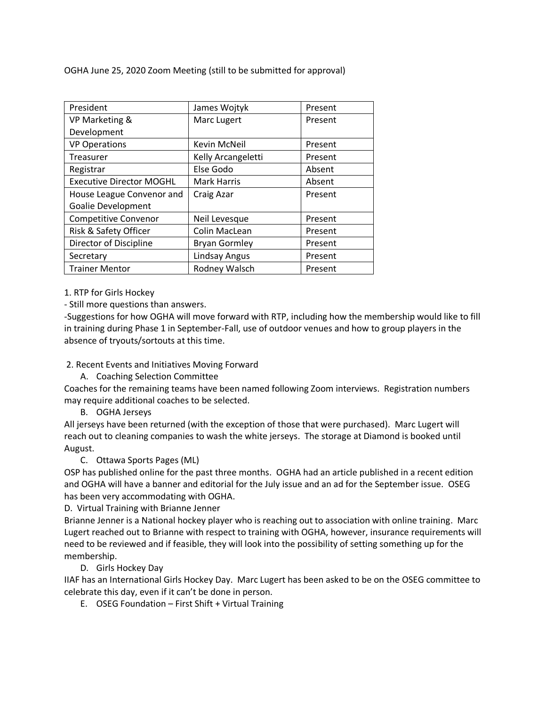OGHA June 25, 2020 Zoom Meeting (still to be submitted for approval)

| President                       | James Wojtyk         | Present |
|---------------------------------|----------------------|---------|
| VP Marketing &                  | Marc Lugert          | Present |
| Development                     |                      |         |
| <b>VP Operations</b>            | Kevin McNeil         | Present |
| Treasurer                       | Kelly Arcangeletti   | Present |
| Registrar                       | Else Godo            | Absent  |
| <b>Executive Director MOGHL</b> | <b>Mark Harris</b>   | Absent  |
| House League Convenor and       | Craig Azar           | Present |
| Goalie Development              |                      |         |
| <b>Competitive Convenor</b>     | Neil Levesque        | Present |
| Risk & Safety Officer           | Colin MacLean        | Present |
| Director of Discipline          | <b>Bryan Gormley</b> | Present |
| Secretary                       | Lindsay Angus        | Present |
| <b>Trainer Mentor</b>           | Rodney Walsch        | Present |

1. RTP for Girls Hockey

- Still more questions than answers.

-Suggestions for how OGHA will move forward with RTP, including how the membership would like to fill in training during Phase 1 in September-Fall, use of outdoor venues and how to group players in the absence of tryouts/sortouts at this time.

2. Recent Events and Initiatives Moving Forward

A. Coaching Selection Committee

Coaches for the remaining teams have been named following Zoom interviews. Registration numbers may require additional coaches to be selected.

B. OGHA Jerseys

All jerseys have been returned (with the exception of those that were purchased). Marc Lugert will reach out to cleaning companies to wash the white jerseys. The storage at Diamond is booked until August.

C. Ottawa Sports Pages (ML)

OSP has published online for the past three months. OGHA had an article published in a recent edition and OGHA will have a banner and editorial for the July issue and an ad for the September issue. OSEG has been very accommodating with OGHA.

D. Virtual Training with Brianne Jenner

Brianne Jenner is a National hockey player who is reaching out to association with online training. Marc Lugert reached out to Brianne with respect to training with OGHA, however, insurance requirements will need to be reviewed and if feasible, they will look into the possibility of setting something up for the membership.

D. Girls Hockey Day

IIAF has an International Girls Hockey Day. Marc Lugert has been asked to be on the OSEG committee to celebrate this day, even if it can't be done in person.

E. OSEG Foundation – First Shift + Virtual Training